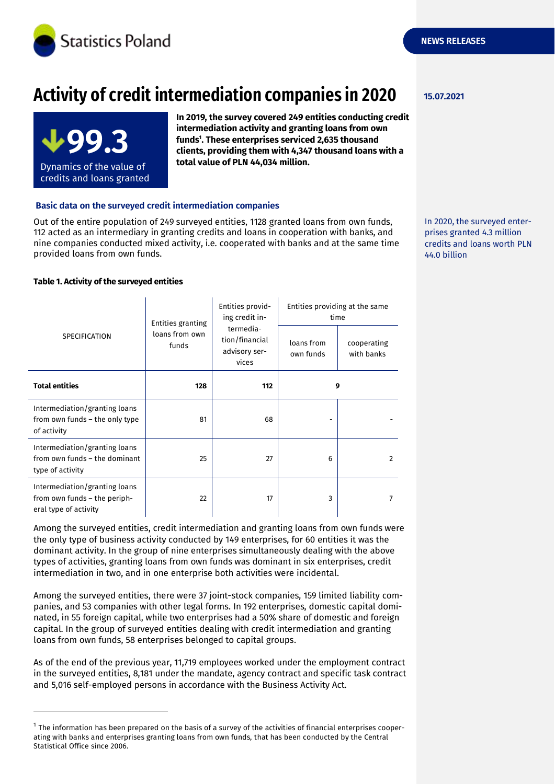

# **Activity of credit intermediation companies in 2020**



**In 2019, the survey covered 249 entities conducting credit intermediation activity and granting loans from own funds<sup>1</sup> . These enterprises serviced 2,635 thousand clients, providing them with 4,347 thousand loans with a total value of PLN 44,034 million.**

## **Basic data on the surveyed credit intermediation companies**

Out of the entire population of 249 surveyed entities, 1128 granted loans from own funds, 112 acted as an intermediary in granting credits and loans in cooperation with banks, and nine companies conducted mixed activity, i.e. cooperated with banks and at the same time provided loans from own funds.

### **Table 1. Activity of the surveyed entities**

-

| SPECIFICATION                                                                          | Entities granting<br>loans from own<br>funds | Entities provid-<br>ing credit in-                    | Entities providing at the same<br>time |                           |
|----------------------------------------------------------------------------------------|----------------------------------------------|-------------------------------------------------------|----------------------------------------|---------------------------|
|                                                                                        |                                              | termedia-<br>tion/financial<br>advisory ser-<br>vices | loans from<br>own funds                | cooperating<br>with banks |
| <b>Total entities</b>                                                                  | 128                                          | 112                                                   | 9                                      |                           |
| Intermediation/granting loans<br>from own funds - the only type<br>of activity         | 81                                           | 68                                                    |                                        |                           |
| Intermediation/granting loans<br>from own funds – the dominant<br>type of activity     | 25                                           | 27                                                    | 6                                      | 2                         |
| Intermediation/granting loans<br>from own funds - the periph-<br>eral type of activity | 22                                           | 17                                                    | 3                                      | 7                         |

Among the surveyed entities, credit intermediation and granting loans from own funds were the only type of business activity conducted by 149 enterprises, for 60 entities it was the dominant activity. In the group of nine enterprises simultaneously dealing with the above types of activities, granting loans from own funds was dominant in six enterprises, credit intermediation in two, and in one enterprise both activities were incidental.

Among the surveyed entities, there were 37 joint-stock companies, 159 limited liability companies, and 53 companies with other legal forms. In 192 enterprises, domestic capital dominated, in 55 foreign capital, while two enterprises had a 50% share of domestic and foreign capital. In the group of surveyed entities dealing with credit intermediation and granting loans from own funds, 58 enterprises belonged to capital groups.

As of the end of the previous year, 11,719 employees worked under the employment contract in the surveyed entities, 8,181 under the mandate, agency contract and specific task contract and 5,016 self-employed persons in accordance with the Business Activity Act.

### **15.07.2021**

In 2020, the surveyed enterprises granted 4.3 million credits and loans worth PLN 44.0 billion

 $^{\rm 1}$  The information has been prepared on the basis of a survey of the activities of financial enterprises cooperating with banks and enterprises granting loans from own funds, that has been conducted by the Central Statistical Office since 2006.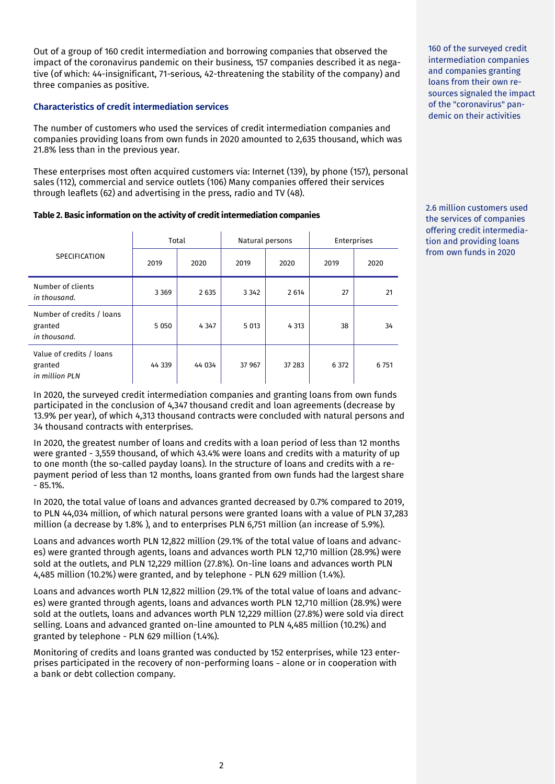Out of a group of 160 credit intermediation and borrowing companies that observed the impact of the coronavirus pandemic on their business, 157 companies described it as negative (of which: 44-insignificant, 71-serious, 42-threatening the stability of the company) and three companies as positive.

# **Characteristics of credit intermediation services**

The number of customers who used the services of credit intermediation companies and companies providing loans from own funds in 2020 amounted to 2,635 thousand, which was 21.8% less than in the previous year.

These enterprises most often acquired customers via: Internet (139), by phone (157), personal sales (112), commercial and service outlets (106) Many companies offered their services through leaflets (62) and advertising in the press, radio and TV (48).

# **Table 2. Basic information on the activity of credit intermediation companies**

|                                                       | Total   |         | Natural persons |         | Enterprises |         |
|-------------------------------------------------------|---------|---------|-----------------|---------|-------------|---------|
| <b>SPECIFICATION</b>                                  | 2019    | 2020    | 2019            | 2020    | 2019        | 2020    |
| Number of clients<br>in thousand.                     | 3 3 6 9 | 2635    | 3 3 4 2         | 2 6 14  | 27          | 21      |
| Number of credits / loans<br>granted<br>in thousand.  | 5 0 5 0 | 4 3 4 7 | 5 0 1 3         | 4 3 1 3 | 38          | 34      |
| Value of credits / loans<br>granted<br>in million PLN | 44 339  | 44 034  | 37 967          | 37 283  | 6 3 7 2     | 6 7 5 1 |

In 2020, the surveyed credit intermediation companies and granting loans from own funds participated in the conclusion of 4,347 thousand credit and loan agreements (decrease by 13.9% per year), of which 4,313 thousand contracts were concluded with natural persons and 34 thousand contracts with enterprises.

In 2020, the greatest number of loans and credits with a loan period of less than 12 months were granted - 3,559 thousand, of which 43.4% were loans and credits with a maturity of up to one month (the so-called payday loans). In the structure of loans and credits with a repayment period of less than 12 months, loans granted from own funds had the largest share - 85.1%.

In 2020, the total value of loans and advances granted decreased by 0.7% compared to 2019, to PLN 44,034 million, of which natural persons were granted loans with a value of PLN 37,283 million (a decrease by 1.8% ), and to enterprises PLN 6,751 million (an increase of 5.9%).

Loans and advances worth PLN 12,822 million (29.1% of the total value of loans and advances) were granted through agents, loans and advances worth PLN 12,710 million (28.9%) were sold at the outlets, and PLN 12,229 million (27.8%). On-line loans and advances worth PLN 4,485 million (10.2%) were granted, and by telephone - PLN 629 million (1.4%).

Loans and advances worth PLN 12,822 million (29.1% of the total value of loans and advances) were granted through agents, loans and advances worth PLN 12,710 million (28.9%) were sold at the outlets, loans and advances worth PLN 12,229 million (27.8%) were sold via direct selling. Loans and advanced granted on-line amounted to PLN 4,485 million (10.2%) and granted by telephone - PLN 629 million (1.4%).

Monitoring of credits and loans granted was conducted by 152 enterprises, while 123 enterprises participated in the recovery of non-performing loans – alone or in cooperation with a bank or debt collection company.

160 of the surveyed credit intermediation companies and companies granting loans from their own resources signaled the impact of the "coronavirus" pandemic on their activities

2.6 million customers used the services of companies offering credit intermediation and providing loans from own funds in 2020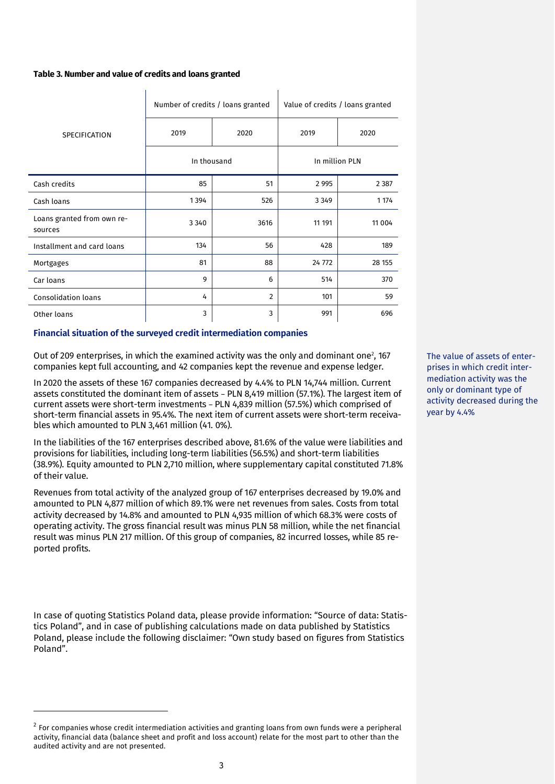#### **Table 3. Number and value of credits and loans granted**

|                                       | Number of credits / loans granted |                | Value of credits / loans granted |          |  |
|---------------------------------------|-----------------------------------|----------------|----------------------------------|----------|--|
| <b>SPECIFICATION</b>                  | 2019                              | 2020           | 2019                             | 2020     |  |
|                                       | In thousand                       |                | In million PLN                   |          |  |
| Cash credits                          | 85                                | 51             | 2 9 9 5                          | 2 3 8 7  |  |
| Cash loans                            | 1394                              | 526            | 3 3 4 9                          | 1 1 7 4  |  |
| Loans granted from own re-<br>sources | 3 3 4 0                           | 3616           | 11 191                           | 11 0 0 4 |  |
| Installment and card loans            | 134                               | 56             | 428                              | 189      |  |
| Mortgages                             | 81                                | 88             | 24 772                           | 28 155   |  |
| Car loans                             | 9                                 | 6              | 514                              | 370      |  |
| <b>Consolidation loans</b>            | 4                                 | $\overline{2}$ | 101                              | 59       |  |
| Other loans                           | 3                                 | 3              | 991                              | 696      |  |

## **Financial situation of the surveyed credit intermediation companies**

Out of 209 enterprises, in which the examined activity was the only and dominant one<sup>2</sup>, 167 companies kept full accounting, and 42 companies kept the revenue and expense ledger.

In 2020 the assets of these 167 companies decreased by 4.4% to PLN 14,744 million. Current assets constituted the dominant item of assets – PLN 8,419 million (57.1%). The largest item of current assets were short-term investments – PLN 4,839 million (57.5%) which comprised of short-term financial assets in 95.4%. The next item of current assets were short-term receivables which amounted to PLN 3,461 million (41. 0%).

In the liabilities of the 167 enterprises described above, 81.6% of the value were liabilities and provisions for liabilities, including long-term liabilities (56.5%) and short-term liabilities (38.9%). Equity amounted to PLN 2,710 million, where supplementary capital constituted 71.8% of their value.

Revenues from total activity of the analyzed group of 167 enterprises decreased by 19.0% and amounted to PLN 4,877 million of which 89.1% were net revenues from sales. Costs from total activity decreased by 14.8% and amounted to PLN 4,935 million of which 68.3% were costs of operating activity. The gross financial result was minus PLN 58 million, while the net financial result was minus PLN 217 million. Of this group of companies, 82 incurred losses, while 85 reported profits.

In case of quoting Statistics Poland data, please provide information: "Source of data: Statistics Poland", and in case of publishing calculations made on data published by Statistics Poland, please include the following disclaimer: "Own study based on figures from Statistics Poland".

-

The value of assets of enterprises in which credit intermediation activity was the only or dominant type of activity decreased during the year by 4.4%

 $^2$  For companies whose credit intermediation activities and granting loans from own funds were a peripheral activity, financial data (balance sheet and profit and loss account) relate for the most part to other than the audited activity and are not presented.